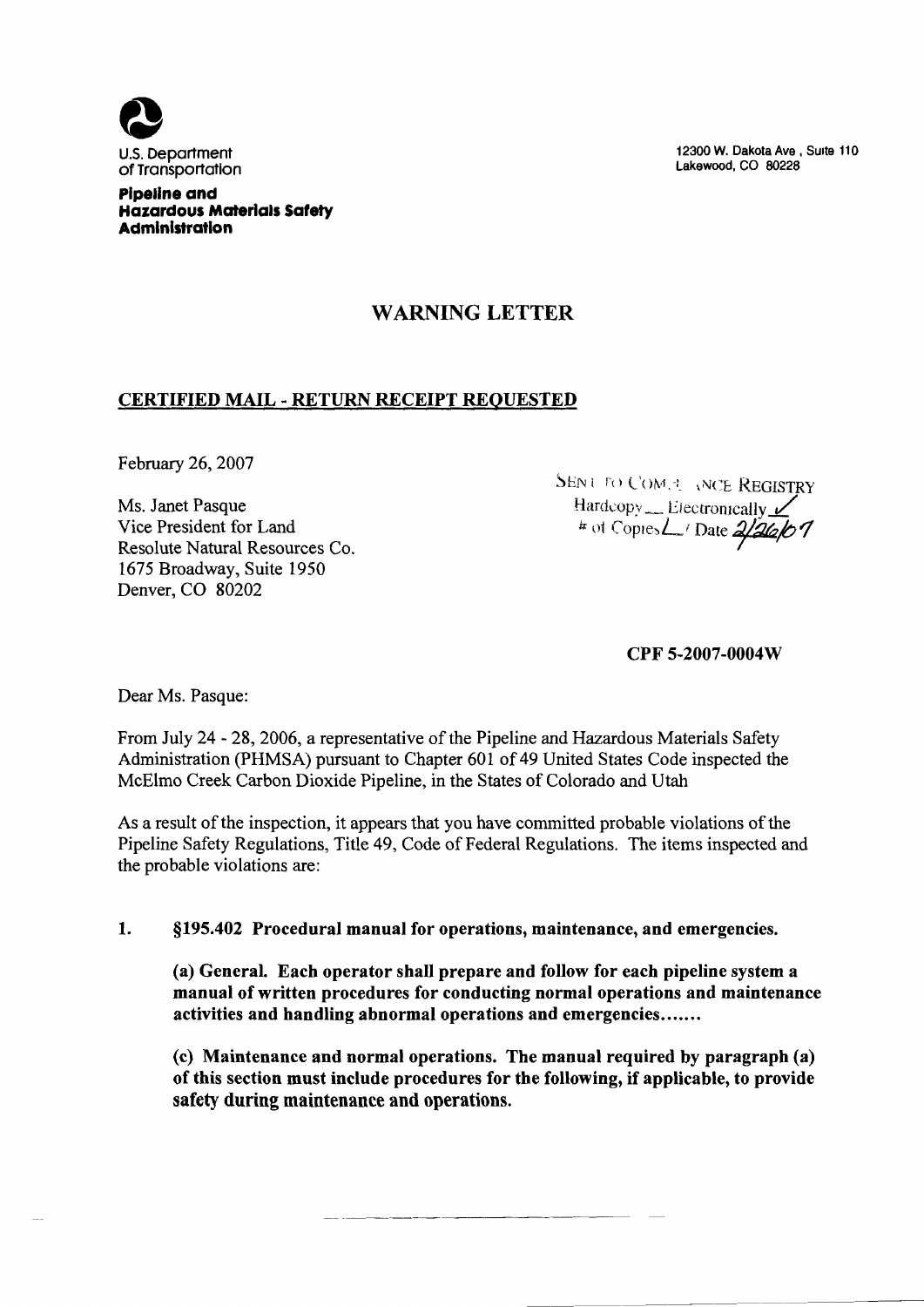

of Transportation

12300 W. Dakota Ave, Suite 110 Lakewood, CO 80228

# WARNING LETTER

# CERTIFIED MAIL - RETURN RECEIPT REQUESTED

February 26, 2007

Ms. Janet Pasque Vice President for Land Resolute Natural Resources Co. 1675 Broadway, Suite 1950 Denver, CO 80202

SENT TO COME ANCE REGISTRY  $\text{Hardcopy}$  Liectrontcally  $\angle$  $*$  of Copies  $\angle$  Date  $2/26/07$ 

CPF 5-2007-0004W

Dear Ms. Pasque:

From July 24 - 28, 2006, a representative of the Pipeline and Hazardous Materials Safety Administration (PHMSA) pursuant to Chapter 601 of 49 United States Code inspected the McElmo Creek Carbon Dioxide Pipeline, in the States of Colorado and Utah

As a result of the inspection, it appears that you have committed probable violations of the Pipeline Safety Regulations, Title 49, Code of Federal Regulations. The items inspected and the probable violations are:

#### 1. \$195. 402 Procedural manual for operations, maintenance, and emergencies.

(a) General. Each operator shall prepare and follow for each pipeline system a manual of written procedures for conducting normal operations and maintenance activities and handling abnormal operations and emergencies.......

(c) Maintenance and normal operations. The manual required by paragraph (a) of this section must include procedures for the following, if applicable, to provide safety during maintenance and operations.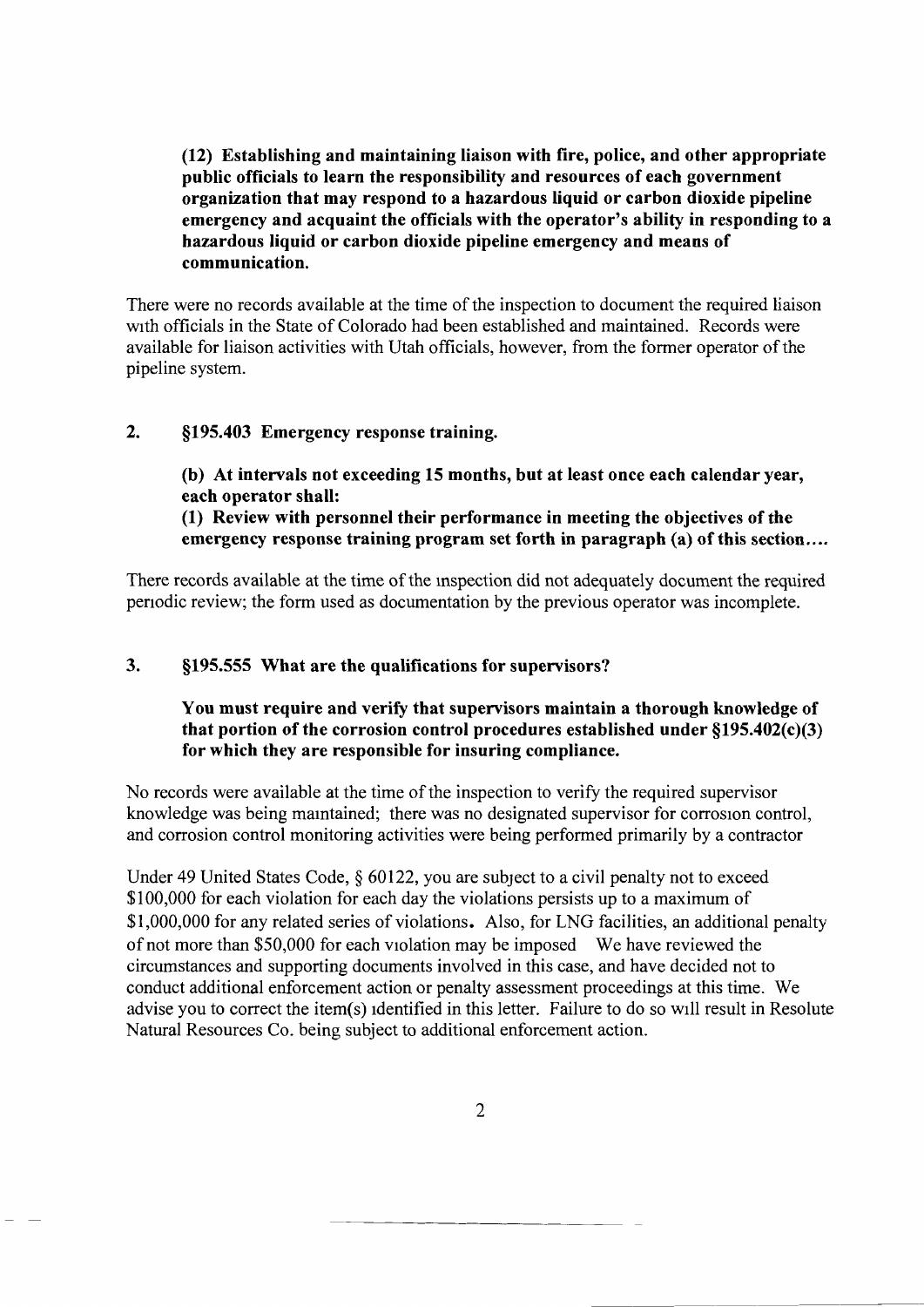(12) Establishing and maintaining liaison with fire, police, and other appropriate public officials to learn the responsibility and resources of each government organization that may respond to a hazardous liquid or carbon dioxide pipeline emergency and acquaint the officials with the operator's ability in responding to a hazardous liquid or carbon dioxide pipeline emergency and means of communication.

There were no records available at the time of the inspection to document the required liaison with officials in the State of Colorado had been established and maintained. Records were available for liaison activities with Utah officials, however, from the former operator of the pipeline system.

### 2. \$195. 403 Emergency response training.

(b) At intervals not exceeding 15 months, but at least once each calendar year, each operator shall: (1) Review with personnel their performance in meeting the objectives of the

emergency response training program set forth in paragraph (a) of this section....

There records available at the time of the inspection did not adequately document the required periodic review; the form used as documentation by the previous operator was incomplete.

# 3. \$195. 555 What are the qualifications for supervisors'?

### You must require and verify that supervisors maintain a thorough knowledge of that portion of the corrosion control procedures established under  $\S 195.402(c)(3)$ for which they are responsible for insuring compliance.

No records were available at the time of the inspection to verify the required supervisor knowledge was being mamtained; there was no designated supervisor for corrosion control, and corrosion control monitoring activities were being performed primarily by a contractor

Under 49 United States Code,  $\S$  60122, you are subject to a civil penalty not to exceed \$100,000 for each violation for each day the violations persists up to a maximum of \$1, 000, 000 for any related series of violations. Also, for LNG facilities, an additional penalty of not more than \$50, 000 for each violation may be imposed We have reviewed the circumstances and supporting documents involved in this case, and have decided not to conduct additional enforcement action or penalty assessment proceedings at this time. We advise you to correct the item(s) identified in this letter. Failure to do so will result in Resolute Natural Resources Co. being subject to additional enforcement action.